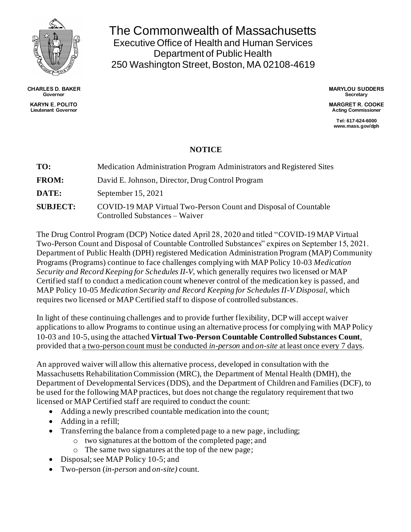

**CHARLES D. BAKER Governor**

**KARYN E. POLITO Lieutenant Governor** The Commonwealth of Massachusetts Executive Office of Health and Human Services Department of Public Health 250 Washington Street, Boston, MA 02108-4619

> **MARYLOU SUDDERS Secretary**

**MARGRET R. COOKE Acting Commissioner**

**Tel: 617-624-6000 www.mass.gov/dph**

## **NOTICE**

| TO:             | Medication Administration Program Administrators and Registered Sites                             |
|-----------------|---------------------------------------------------------------------------------------------------|
| <b>FROM:</b>    | David E. Johnson, Director, Drug Control Program                                                  |
| DATE:           | September $15, 2021$                                                                              |
| <b>SUBJECT:</b> | COVID-19 MAP Virtual Two-Person Count and Disposal of Countable<br>Controlled Substances – Waiver |

The Drug Control Program (DCP) Notice dated April 28, 2020 and titled "COVID-19 MAP Virtual Two-Person Count and Disposal of Countable Controlled Substances" expires on September 15, 2021. Department of Public Health (DPH) registered Medication Administration Program (MAP) Community Programs (Programs) continue to face challenges complying with MAP Policy 10-03 *Medication Security and Record Keeping for Schedules II-V*, which generally requires two licensed or MAP Certified staff to conduct a medication count whenever control of the medication key is passed, and MAP Policy 10-05 *Medication Security and Record Keeping for Schedules II-V Disposal*, which requires two licensed or MAP Certified staff to dispose of controlled substances.

In light of these continuing challenges and to provide further flexibility, DCP will accept waiver applications to allow Programs to continue using an alternative process for complying with MAP Policy 10-03 and 10-5, using the attached **Virtual Two-Person Countable Controlled Substances Count**, provided that a two-person count must be conducted *in-person* and *on-site* at least once every 7 days.

An approved waiver will allow this alternative process, developed in consultation with the Massachusetts Rehabilitation Commission (MRC), the Department of Mental Health (DMH), the Department of Developmental Services (DDS), and the Department of Children and Families (DCF), to be used for the following MAP practices, but does not change the regulatory requirement that two licensed or MAP Certified staff are required to conduct the count:

- Adding a newly prescribed countable medication into the count;
- Adding in a refill;
- Transferring the balance from a completed page to a new page, including;
	- o two signatures at the bottom of the completed page; and
		- o The same two signatures at the top of the new page;
- Disposal; see MAP Policy 10-5; and
- Two-person (*in-person* and *on-site)* count.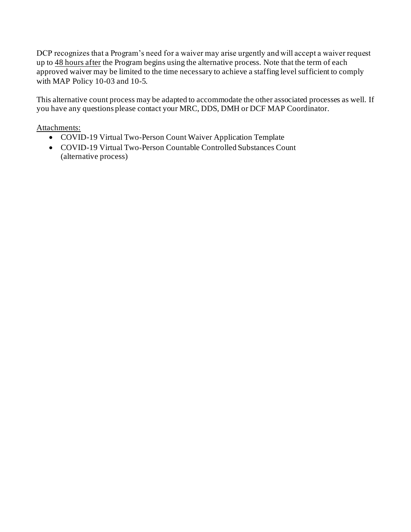DCP recognizes that a Program's need for a waiver may arise urgently and will accept a waiver request up to 48 hours after the Program begins using the alternative process. Note that the term of each approved waiver may be limited to the time necessary to achieve a staffing level sufficient to comply with MAP Policy 10-03 and 10-5.

This alternative count process may be adapted to accommodate the other associated processes as well. If you have any questions please contact your MRC, DDS, DMH or DCF MAP Coordinator.

### Attachments:

- COVID-19 Virtual Two-Person Count Waiver Application Template
- COVID-19 Virtual Two-Person Countable Controlled Substances Count (alternative process)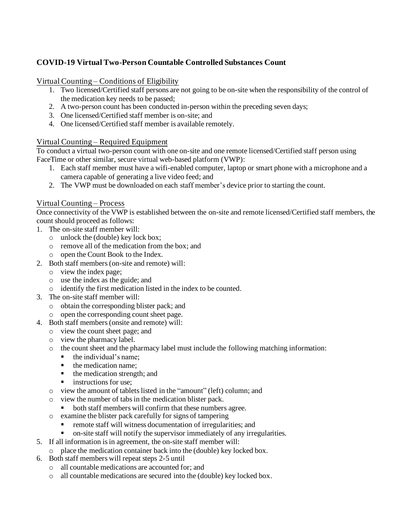# **COVID-19 Virtual Two-Person Countable Controlled Substances Count**

Virtual Counting – Conditions of Eligibility

- 1. Two licensed/Certified staff persons are not going to be on-site when the responsibility of the control of the medication key needs to be passed;
- 2. A two-person count has been conducted in-person within the preceding seven days;
- 3. One licensed/Certified staff member is on-site; and
- 4. One licensed/Certified staff member is available remotely.

### Virtual Counting – Required Equipment

To conduct a virtual two-person count with one on-site and one remote licensed/Certified staff person using FaceTime or other similar, secure virtual web-based platform (VWP):

- 1. Each staff member must have a wifi-enabled computer, laptop or smart phone with a microphone and a camera capable of generating a live video feed; and
- 2. The VWP must be downloaded on each staff member's device prior to starting the count.

#### Virtual Counting – Process

Once connectivity of the VWP is established between the on-site and remote licensed/Certified staff members, the count should proceed as follows:

- 1. The on-site staff member will:
	- o unlock the (double) key lock box;
	- o remove all of the medication from the box; and
	- o open the Count Book to the Index.
- 2. Both staff members (on-site and remote) will:
	- o view the index page;
	- o use the index as the guide; and
	- o identify the first medication listed in the index to be counted.
- 3. The on-site staff member will:
	- o obtain the corresponding blister pack; and
	- o open the corresponding count sheet page.
- 4. Both staff members (onsite and remote) will:
	- o view the count sheet page; and
	- o view the pharmacy label.
	- o the count sheet and the pharmacy label must include the following matching information:
		- $\blacksquare$  the individual's name:
		- the medication name;
		- the medication strength; and
		- $\blacksquare$  instructions for use;
	- o view the amount of tablets listed in the "amount" (left) column; and
	- o view the number of tabs in the medication blister pack.
	- both staff members will confirm that these numbers agree.
	- o examine the blister pack carefully for signs of tampering
		- remote staff will witness documentation of irregularities; and
		- on-site staff will notify the supervisor immediately of any irregularities.
- 5. If all information is in agreement, the on-site staff member will:
	- o place the medication container back into the (double) key locked box.
- 6. Both staff members will repeat steps 2-5 until
	- o all countable medications are accounted for; and
	- o all countable medications are secured into the (double) key locked box.